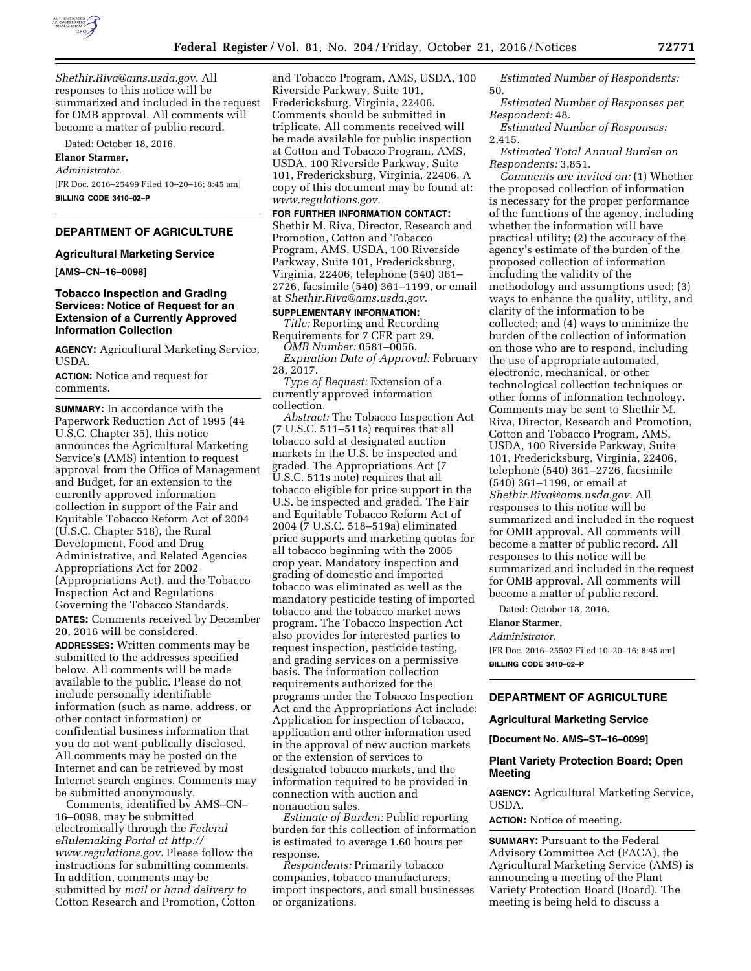

*[Shethir.Riva@ams.usda.gov.](mailto:Shethir.Riva@ams.usda.gov)* All responses to this notice will be summarized and included in the request for OMB approval. All comments will become a matter of public record.

Dated: October 18, 2016.

#### **Elanor Starmer,**

*Administrator.* 

[FR Doc. 2016–25499 Filed 10–20–16; 8:45 am] **BILLING CODE 3410–02–P** 

# **DEPARTMENT OF AGRICULTURE**

#### **Agricultural Marketing Service**

**[AMS–CN–16–0098]** 

## **Tobacco Inspection and Grading Services: Notice of Request for an Extension of a Currently Approved Information Collection**

**AGENCY:** Agricultural Marketing Service, USDA.

**ACTION:** Notice and request for comments.

**SUMMARY:** In accordance with the Paperwork Reduction Act of 1995 (44 U.S.C. Chapter 35), this notice announces the Agricultural Marketing Service's (AMS) intention to request approval from the Office of Management and Budget, for an extension to the currently approved information collection in support of the Fair and Equitable Tobacco Reform Act of 2004 (U.S.C. Chapter 518), the Rural Development, Food and Drug Administrative, and Related Agencies Appropriations Act for 2002 (Appropriations Act), and the Tobacco Inspection Act and Regulations Governing the Tobacco Standards. **DATES:** Comments received by December 20, 2016 will be considered. **ADDRESSES:** Written comments may be submitted to the addresses specified below. All comments will be made available to the public. Please do not include personally identifiable information (such as name, address, or other contact information) or

confidential business information that you do not want publically disclosed. All comments may be posted on the Internet and can be retrieved by most Internet search engines. Comments may be submitted anonymously.

Comments, identified by AMS–CN– 16–0098, may be submitted electronically through the *Federal eRulemaking Portal at [http://](http://www.regulations.gov) [www.regulations.gov.](http://www.regulations.gov)* Please follow the instructions for submitting comments. In addition, comments may be submitted by *mail or hand delivery to*  Cotton Research and Promotion, Cotton

and Tobacco Program, AMS, USDA, 100 Riverside Parkway, Suite 101, Fredericksburg, Virginia, 22406. Comments should be submitted in triplicate. All comments received will be made available for public inspection at Cotton and Tobacco Program, AMS, USDA, 100 Riverside Parkway, Suite 101, Fredericksburg, Virginia, 22406. A copy of this document may be found at: *[www.regulations.gov.](http://www.regulations.gov)* 

**FOR FURTHER INFORMATION CONTACT:**  Shethir M. Riva, Director, Research and Promotion, Cotton and Tobacco Program, AMS, USDA, 100 Riverside Parkway, Suite 101, Fredericksburg, Virginia, 22406, telephone (540) 361– 2726, facsimile (540) 361–1199, or email at *[Shethir.Riva@ams.usda.gov.](mailto:Shethir.Riva@ams.usda.gov)* 

**SUPPLEMENTARY INFORMATION:**  *Title:* Reporting and Recording Requirements for 7 CFR part 29.

*OMB Number:* 0581–0056. *Expiration Date of Approval:* February 28, 2017.

*Type of Request:* Extension of a currently approved information collection.

*Abstract:* The Tobacco Inspection Act (7 U.S.C. 511–511s) requires that all tobacco sold at designated auction markets in the U.S. be inspected and graded. The Appropriations Act (7 U.S.C. 511s note) requires that all tobacco eligible for price support in the U.S. be inspected and graded. The Fair and Equitable Tobacco Reform Act of 2004 (7 U.S.C. 518–519a) eliminated price supports and marketing quotas for all tobacco beginning with the 2005 crop year. Mandatory inspection and grading of domestic and imported tobacco was eliminated as well as the mandatory pesticide testing of imported tobacco and the tobacco market news program. The Tobacco Inspection Act also provides for interested parties to request inspection, pesticide testing, and grading services on a permissive basis. The information collection requirements authorized for the programs under the Tobacco Inspection Act and the Appropriations Act include: Application for inspection of tobacco, application and other information used in the approval of new auction markets or the extension of services to designated tobacco markets, and the information required to be provided in connection with auction and nonauction sales.

*Estimate of Burden:* Public reporting burden for this collection of information is estimated to average 1.60 hours per response.

*Respondents:* Primarily tobacco companies, tobacco manufacturers, import inspectors, and small businesses or organizations.

*Estimated Number of Respondents:*  50.

*Estimated Number of Responses per Respondent:* 48.

*Estimated Number of Responses:*  2,415.

*Estimated Total Annual Burden on Respondents:* 3,851.

*Comments are invited on:* (1) Whether the proposed collection of information is necessary for the proper performance of the functions of the agency, including whether the information will have practical utility; (2) the accuracy of the agency's estimate of the burden of the proposed collection of information including the validity of the methodology and assumptions used; (3) ways to enhance the quality, utility, and clarity of the information to be collected; and (4) ways to minimize the burden of the collection of information on those who are to respond, including the use of appropriate automated, electronic, mechanical, or other technological collection techniques or other forms of information technology. Comments may be sent to Shethir M. Riva, Director, Research and Promotion, Cotton and Tobacco Program, AMS, USDA, 100 Riverside Parkway, Suite 101, Fredericksburg, Virginia, 22406, telephone (540) 361–2726, facsimile (540) 361–1199, or email at *[Shethir.Riva@ams.usda.gov.](mailto:Shethir.Riva@ams.usda.gov)* All responses to this notice will be summarized and included in the request for OMB approval. All comments will become a matter of public record. All responses to this notice will be summarized and included in the request for OMB approval. All comments will become a matter of public record.

Dated: October 18, 2016.

# **Elanor Starmer,**

*Administrator.* 

[FR Doc. 2016–25502 Filed 10–20–16; 8:45 am] **BILLING CODE 3410–02–P** 

#### **DEPARTMENT OF AGRICULTURE**

#### **Agricultural Marketing Service**

**[Document No. AMS–ST–16–0099]** 

#### **Plant Variety Protection Board; Open Meeting**

**AGENCY:** Agricultural Marketing Service, USDA.

**ACTION:** Notice of meeting.

**SUMMARY: Pursuant to the Federal** Advisory Committee Act (FACA), the Agricultural Marketing Service (AMS) is announcing a meeting of the Plant Variety Protection Board (Board). The meeting is being held to discuss a